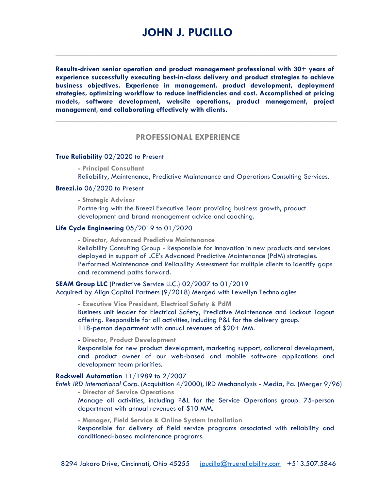# **JOHN J. PUCILLO**

**Results-driven senior operation and product management professional with 30+ years of experience successfully executing best-in-class delivery and product strategies to achieve business objectives. Experience in management, product development, deployment strategies, optimizing workflow to reduce inefficiencies and cost. Accomplished at pricing models, software development, website operations, product management, project management, and collaborating effectively with clients.** 

**\_\_\_\_\_\_\_\_\_\_\_\_\_\_\_\_\_\_\_\_\_\_\_\_\_\_\_\_\_\_\_\_\_\_\_\_\_\_\_\_\_\_\_\_\_\_\_\_\_\_\_\_\_\_\_\_\_\_\_\_\_\_\_\_\_** 

**\_\_\_\_\_\_\_\_\_\_\_\_\_\_\_\_\_\_\_\_\_\_\_\_\_\_\_\_\_\_\_\_\_\_\_\_\_\_\_\_\_\_\_\_\_\_\_\_\_\_\_\_\_\_\_\_\_\_\_\_\_\_\_\_\_**

# **PROFESSIONAL EXPERIENCE**

### **True Reliability** 02/2020 to Present

 **- Principal Consultant**  Reliability, Maintenance, Predictive Maintenance and Operations Consulting Services.

### **Breezi.io** 06/2020 to Present

 **- Strategic Advisor** 

Partnering with the Breezi Executive Team providing business growth, product development and brand management advice and coaching.

### **Life Cycle Engineering** 05/2019 to 01/2020

 **- Director, Advanced Predictive Maintenance**  Reliability Consulting Group - Responsible for innovation in new products and services deployed in support of LCE's Advanced Predictive Maintenance (PdM) strategies. Performed Maintenance and Reliability Assessment for multiple clients to identify gaps

and recommend paths forward.

**SEAM Group LLC** (Predictive Service LLC.) 02/2007 to 01/2019 Acquired by Align Capital Partners (9/2018) Merged with Lewellyn Technologies

 **- Executive Vice President, Electrical Safety & PdM**  Business unit leader for Electrical Safety, Predictive Maintenance and Lockout Tagout offering. Responsible for all activities, including P&L for the delivery group. 118-person department with annual revenues of \$20+ MM.

 **- Director, Product Development** 

Responsible for new product development, marketing support, collateral development, and product owner of our web-based and mobile software applications and development team priorities.

#### **Rockwell Automation** 11/1989 to 2/2007

*Entek IRD International Corp.* (Acquisition 4/2000), IRD Mechanalysis - Media, Pa. (Merger 9/96) **- Director of Service Operations**

Manage all activities, including P&L for the Service Operations group. 75-person department with annual revenues of \$10 MM.

**- Manager, Field Service & Online System Installation**

Responsible for delivery of field service programs associated with reliability and conditioned-based maintenance programs.